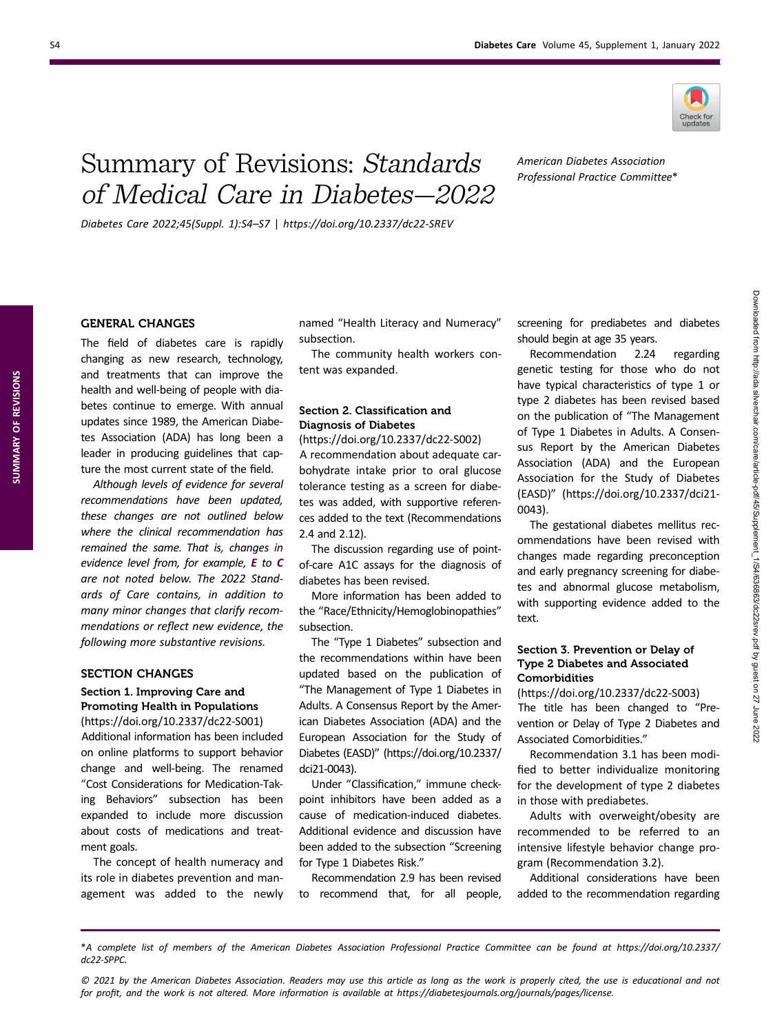

# Summary of Revisions: Standards of Medical Care in Diabetes—2022

American Diabetes Association Professional Practice Committee\*

Diabetes Care 2022;45(Suppl. 1):S4–S7 | https://doi.org/10.2337/dc22-SREV

### GENERAL CHANGES

The field of diabetes care is rapidly changing as new research, technology, and treatments that can improve the health and well-being of people with diabetes continue to emerge. With annual updates since 1989, the American Diabetes Association (ADA) has long been a leader in producing guidelines that capture the most current state of the field.

Although levels of evidence for several recommendations have been updated, these changes are not outlined below where the clinical recommendation has remained the same. That is, changes in evidence level from, for example, E to C are not noted below. The 2022 Standards of Care contains, in addition to many minor changes that clarify recommendations or reflect new evidence, the following more substantive revisions.

## SECTION CHANGES

### Section 1. Improving Care and Promoting Health in Populations [\(https://doi.org/10.2337/dc22-S001\)](https://doi.org/10.2337/dc22-S001)

Additional information has been included on online platforms to support behavior change and well-being. The renamed "Cost Considerations for Medication-Taking Behaviors" subsection has been expanded to include more discussion about costs of medications and treatment goals.

The concept of health numeracy and its role in diabetes prevention and management was added to the newly named "Health Literacy and Numeracy" subsection.

The community health workers content was expanded.

## Section 2. Classification and Diagnosis of Diabetes

[\(https://doi.org/10.2337/dc22-S002\)](https://doi.org/10.2337/dc22-S002) A recommendation about adequate carbohydrate intake prior to oral glucose tolerance testing as a screen for diabetes was added, with supportive references added to the text (Recommendations 2.4 and 2.12).

The discussion regarding use of pointof-care A1C assays for the diagnosis of diabetes has been revised.

More information has been added to the "Race/Ethnicity/Hemoglobinopathies" subsection.

The "Type 1 Diabetes" subsection and the recommendations within have been updated based on the publication of "The Management of Type 1 Diabetes in Adults. A Consensus Report by the American Diabetes Association (ADA) and the European Association for the Study of Diabetes (EASD)" [\(https://doi.org/10.2337/](https://doi.org/10.2337/dci21-0043) [dci21-0043\)](https://doi.org/10.2337/dci21-0043).

Under "Classification," immune checkpoint inhibitors have been added as a cause of medication-induced diabetes. Additional evidence and discussion have been added to the subsection "Screening for Type 1 Diabetes Risk."

Recommendation 2.9 has been revised to recommend that, for all people, screening for prediabetes and diabetes should begin at age 35 years.

Recommendation 2.24 regarding genetic testing for those who do not have typical characteristics of type 1 or type 2 diabetes has been revised based on the publication of "The Management of Type 1 Diabetes in Adults. A Consensus Report by the American Diabetes Association (ADA) and the European Association for the Study of Diabetes (EASD)" ([https://doi.org/10.2337/dci21-](https://doi.org/10.2337/dci21-0043) [0043\)](https://doi.org/10.2337/dci21-0043).

The gestational diabetes mellitus recommendations have been revised with changes made regarding preconception and early pregnancy screening for diabetes and abnormal glucose metabolism, with supporting evidence added to the text.

### Section 3. Prevention or Delay of Type 2 Diabetes and Associated Comorbidities

(<https://doi.org/10.2337/dc22-S003>) The title has been changed to "Prevention or Delay of Type 2 Diabetes and Associated Comorbidities."

Recommendation 3.1 has been modified to better individualize monitoring for the development of type 2 diabetes in those with prediabetes.

Adults with overweight/obesity are recommended to be referred to an intensive lifestyle behavior change program (Recommendation 3.2).

Additional considerations have been added to the recommendation regarding

\*A complete list of members of the American Diabetes Association Professional Practice Committee can be found at [https://doi.org/10.2337/](https://doi.org/10.2337/dc22-SPPC) [dc22-SPPC](https://doi.org/10.2337/dc22-SPPC).

© 2021 by the American Diabetes Association. Readers may use this article as long as the work is properly cited, the use is educational and not for profit, and the work is not altered. More information is available at<https://diabetesjournals.org/journals/pages/license>.

SUMMARY OF REVISIONS

SUMMARY OF REVISIONS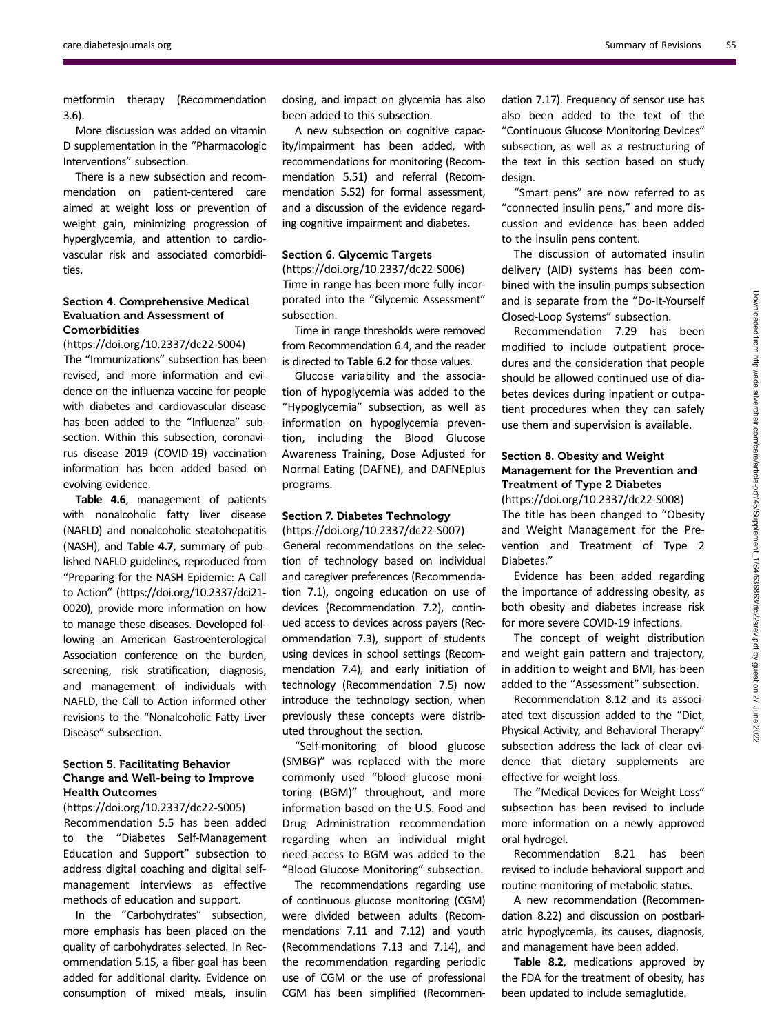metformin therapy (Recommendation 3.6).

More discussion was added on vitamin D supplementation in the "Pharmacologic Interventions" subsection.

There is a new subsection and recommendation on patient-centered care aimed at weight loss or prevention of weight gain, minimizing progression of hyperglycemia, and attention to cardiovascular risk and associated comorbidities.

### Section 4. Comprehensive Medical Evaluation and Assessment of Comorbidities

(<https://doi.org/10.2337/dc22-S004>) The "Immunizations" subsection has been revised, and more information and evidence on the influenza vaccine for people with diabetes and cardiovascular disease has been added to the "Influenza" subsection. Within this subsection, coronavirus disease 2019 (COVID-19) vaccination information has been added based on evolving evidence.

Table 4.6, management of patients with nonalcoholic fatty liver disease (NAFLD) and nonalcoholic steatohepatitis (NASH), and Table 4.7, summary of published NAFLD guidelines, reproduced from "Preparing for the NASH Epidemic: A Call to Action" [\(https://doi.org/10.2337/dci21-](https://doi.org/10.2337/dci21-0020) [0020\)](https://doi.org/10.2337/dci21-0020), provide more information on how to manage these diseases. Developed following an American Gastroenterological Association conference on the burden, screening, risk stratification, diagnosis, and management of individuals with NAFLD, the Call to Action informed other revisions to the "Nonalcoholic Fatty Liver Disease" subsection.

### Section 5. Facilitating Behavior Change and Well-being to Improve Health Outcomes

### (<https://doi.org/10.2337/dc22-S005>)

Recommendation 5.5 has been added to the "Diabetes Self-Management Education and Support" subsection to address digital coaching and digital selfmanagement interviews as effective methods of education and support.

In the "Carbohydrates" subsection, more emphasis has been placed on the quality of carbohydrates selected. In Recommendation 5.15, a fiber goal has been added for additional clarity. Evidence on consumption of mixed meals, insulin

dosing, and impact on glycemia has also been added to this subsection.

A new subsection on cognitive capacity/impairment has been added, with recommendations for monitoring (Recommendation 5.51) and referral (Recommendation 5.52) for formal assessment, and a discussion of the evidence regarding cognitive impairment and diabetes.

### Section 6. Glycemic Targets

(<https://doi.org/10.2337/dc22-S006>) Time in range has been more fully incorporated into the "Glycemic Assessment" subsection.

Time in range thresholds were removed from Recommendation 6.4, and the reader is directed to Table 6.2 for those values.

Glucose variability and the association of hypoglycemia was added to the "Hypoglycemia" subsection, as well as information on hypoglycemia prevention, including the Blood Glucose Awareness Training, Dose Adjusted for Normal Eating (DAFNE), and DAFNEplus programs.

### Section 7. Diabetes Technology (<https://doi.org/10.2337/dc22-S007>)

General recommendations on the selection of technology based on individual and caregiver preferences (Recommendation 7.1), ongoing education on use of devices (Recommendation 7.2), continued access to devices across payers (Recommendation 7.3), support of students using devices in school settings (Recommendation 7.4), and early initiation of technology (Recommendation 7.5) now introduce the technology section, when previously these concepts were distributed throughout the section.

"Self-monitoring of blood glucose (SMBG)" was replaced with the more commonly used "blood glucose monitoring (BGM)" throughout, and more information based on the U.S. Food and Drug Administration recommendation regarding when an individual might need access to BGM was added to the "Blood Glucose Monitoring" subsection.

The recommendations regarding use of continuous glucose monitoring (CGM) were divided between adults (Recommendations 7.11 and 7.12) and youth (Recommendations 7.13 and 7.14), and the recommendation regarding periodic use of CGM or the use of professional CGM has been simplified (Recommen-

dation 7.17). Frequency of sensor use has also been added to the text of the "Continuous Glucose Monitoring Devices" subsection, as well as a restructuring of the text in this section based on study design.

"Smart pens" are now referred to as "connected insulin pens," and more discussion and evidence has been added to the insulin pens content.

The discussion of automated insulin delivery (AID) systems has been combined with the insulin pumps subsection and is separate from the "Do-It-Yourself Closed-Loop Systems" subsection.

Recommendation 7.29 has been modified to include outpatient procedures and the consideration that people should be allowed continued use of diabetes devices during inpatient or outpatient procedures when they can safely use them and supervision is available.

# Section 8. Obesity and Weight Management for the Prevention and Treatment of Type 2 Diabetes

(<https://doi.org/10.2337/dc22-S008>) The title has been changed to "Obesity and Weight Management for the Prevention and Treatment of Type 2 Diabetes."

Evidence has been added regarding the importance of addressing obesity, as both obesity and diabetes increase risk for more severe COVID-19 infections.

The concept of weight distribution and weight gain pattern and trajectory, in addition to weight and BMI, has been added to the "Assessment" subsection.

Recommendation 8.12 and its associated text discussion added to the "Diet, Physical Activity, and Behavioral Therapy" subsection address the lack of clear evidence that dietary supplements are effective for weight loss.

The "Medical Devices for Weight Loss" subsection has been revised to include more information on a newly approved oral hydrogel.

Recommendation 8.21 has been revised to include behavioral support and routine monitoring of metabolic status.

A new recommendation (Recommendation 8.22) and discussion on postbariatric hypoglycemia, its causes, diagnosis, and management have been added.

Table 8.2, medications approved by the FDA for the treatment of obesity, has been updated to include semaglutide.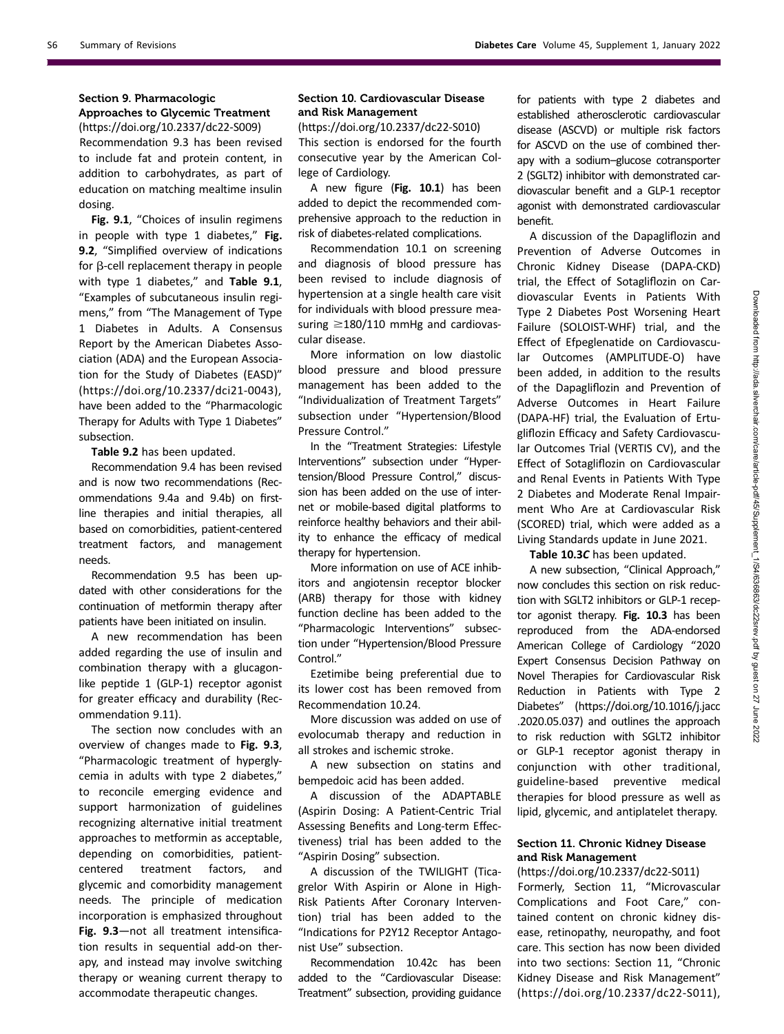# Section 9. Pharmacologic

### Approaches to Glycemic Treatment (<https://doi.org/10.2337/dc22-S009>)

Recommendation 9.3 has been revised to include fat and protein content, in addition to carbohydrates, as part of education on matching mealtime insulin dosing.

Fig. 9.1, "Choices of insulin regimens in people with type 1 diabetes," Fig. 9.2, "Simplified overview of indications for  $\beta$ -cell replacement therapy in people with type 1 diabetes," and Table 9.1, "Examples of subcutaneous insulin regimens," from "The Management of Type 1 Diabetes in Adults. A Consensus Report by the American Diabetes Association (ADA) and the European Association for the Study of Diabetes (EASD)" ([https://doi.org/10.2337/dci21-0043\)](https://doi.org/10.2337/dci21-0043), have been added to the "Pharmacologic Therapy for Adults with Type 1 Diabetes" subsection.

Table 9.2 has been updated.

Recommendation 9.4 has been revised and is now two recommendations (Recommendations 9.4a and 9.4b) on firstline therapies and initial therapies, all based on comorbidities, patient-centered treatment factors, and management needs.

Recommendation 9.5 has been updated with other considerations for the continuation of metformin therapy after patients have been initiated on insulin.

A new recommendation has been added regarding the use of insulin and combination therapy with a glucagonlike peptide 1 (GLP-1) receptor agonist for greater efficacy and durability (Recommendation 9.11).

The section now concludes with an overview of changes made to Fig. 9.3, "Pharmacologic treatment of hyperglycemia in adults with type 2 diabetes," to reconcile emerging evidence and support harmonization of guidelines recognizing alternative initial treatment approaches to metformin as acceptable, depending on comorbidities, patientcentered treatment factors, and glycemic and comorbidity management needs. The principle of medication incorporation is emphasized throughout Fig. 9.3—not all treatment intensification results in sequential add-on therapy, and instead may involve switching therapy or weaning current therapy to accommodate therapeutic changes.

### Section 10. Cardiovascular Disease and Risk Management

(<https://doi.org/10.2337/dc22-S010>) This section is endorsed for the fourth consecutive year by the American College of Cardiology.

A new figure (Fig. 10.1) has been added to depict the recommended comprehensive approach to the reduction in risk of diabetes-related complications.

Recommendation 10.1 on screening and diagnosis of blood pressure has been revised to include diagnosis of hypertension at a single health care visit for individuals with blood pressure measuring  $\geq$ 180/110 mmHg and cardiovascular disease.

More information on low diastolic blood pressure and blood pressure management has been added to the "Individualization of Treatment Targets" subsection under "Hypertension/Blood Pressure Control."

In the "Treatment Strategies: Lifestyle Interventions" subsection under "Hypertension/Blood Pressure Control," discussion has been added on the use of internet or mobile-based digital platforms to reinforce healthy behaviors and their ability to enhance the efficacy of medical therapy for hypertension.

More information on use of ACE inhibitors and angiotensin receptor blocker (ARB) therapy for those with kidney function decline has been added to the "Pharmacologic Interventions" subsection under "Hypertension/Blood Pressure Control."

Ezetimibe being preferential due to its lower cost has been removed from Recommendation 10.24.

More discussion was added on use of evolocumab therapy and reduction in all strokes and ischemic stroke.

A new subsection on statins and bempedoic acid has been added.

A discussion of the ADAPTABLE (Aspirin Dosing: A Patient-Centric Trial Assessing Benefits and Long-term Effectiveness) trial has been added to the "Aspirin Dosing" subsection.

A discussion of the TWILIGHT (Ticagrelor With Aspirin or Alone in High-Risk Patients After Coronary Intervention) trial has been added to the "Indications for P2Y12 Receptor Antagonist Use" subsection.

Recommendation 10.42c has been added to the "Cardiovascular Disease: Treatment" subsection, providing guidance for patients with type 2 diabetes and established atherosclerotic cardiovascular disease (ASCVD) or multiple risk factors for ASCVD on the use of combined therapy with a sodium–glucose cotransporter 2 (SGLT2) inhibitor with demonstrated cardiovascular benefit and a GLP-1 receptor agonist with demonstrated cardiovascular benefit.

A discussion of the Dapagliflozin and Prevention of Adverse Outcomes in Chronic Kidney Disease (DAPA-CKD) trial, the Effect of Sotagliflozin on Cardiovascular Events in Patients With Type 2 Diabetes Post Worsening Heart Failure (SOLOIST-WHF) trial, and the Effect of Efpeglenatide on Cardiovascular Outcomes (AMPLITUDE-O) have been added, in addition to the results of the Dapagliflozin and Prevention of Adverse Outcomes in Heart Failure (DAPA-HF) trial, the Evaluation of Ertugliflozin Efficacy and Safety Cardiovascular Outcomes Trial (VERTIS CV), and the Effect of Sotagliflozin on Cardiovascular and Renal Events in Patients With Type 2 Diabetes and Moderate Renal Impairment Who Are at Cardiovascular Risk (SCORED) trial, which were added as a Living Standards update in June 2021.

Table 10.3C has been updated.

A new subsection, "Clinical Approach," now concludes this section on risk reduction with SGLT2 inhibitors or GLP-1 receptor agonist therapy. Fig. 10.3 has been reproduced from the ADA-endorsed American College of Cardiology "2020 Expert Consensus Decision Pathway on Novel Therapies for Cardiovascular Risk Reduction in Patients with Type 2 Diabetes" [\(https://doi.org/10.1016/j.jacc](https://doi.org/10.1016/j.jacc.2020.05.037) [.2020.05.037](https://doi.org/10.1016/j.jacc.2020.05.037)) and outlines the approach to risk reduction with SGLT2 inhibitor or GLP-1 receptor agonist therapy in conjunction with other traditional, guideline-based preventive medical therapies for blood pressure as well as lipid, glycemic, and antiplatelet therapy.

### Section 11. Chronic Kidney Disease and Risk Management

### (<https://doi.org/10.2337/dc22-S011>)

Formerly, Section 11, "Microvascular Complications and Foot Care," contained content on chronic kidney disease, retinopathy, neuropathy, and foot care. This section has now been divided into two sections: Section 11, "Chronic Kidney Disease and Risk Management" (<https://doi.org/10.2337/dc22-S011>),